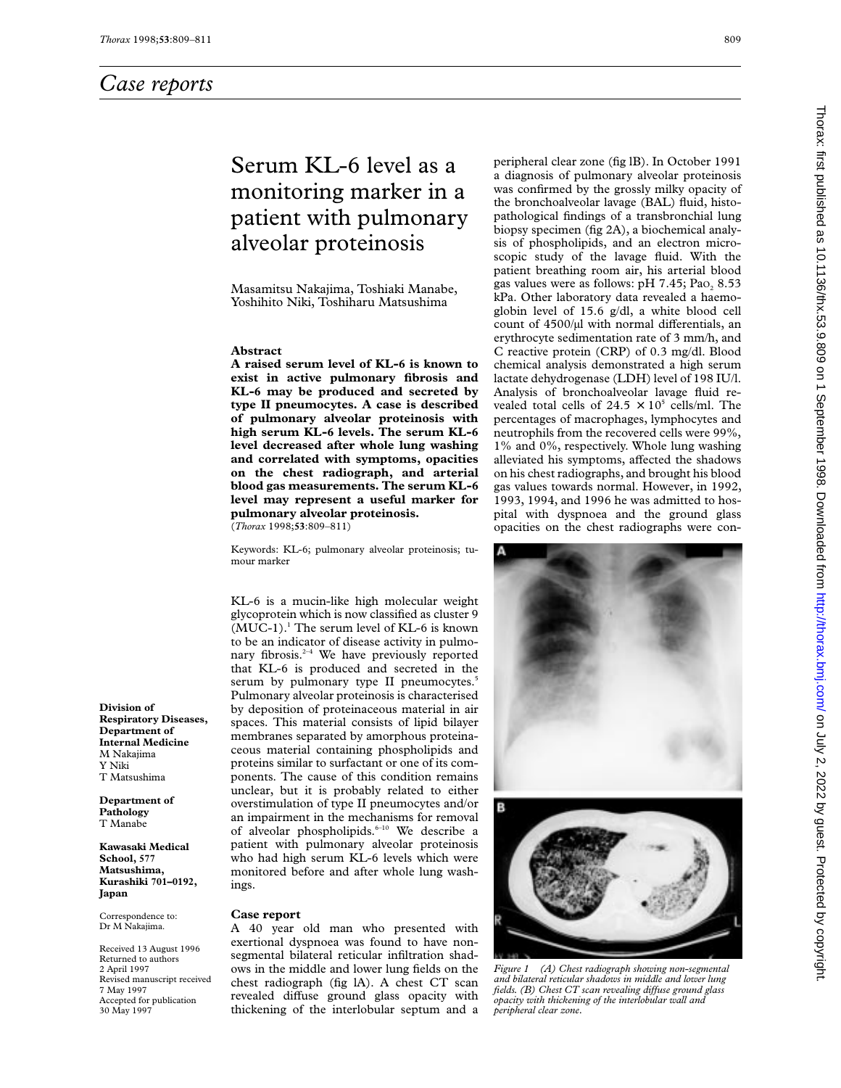# Serum KL-6 level as a monitoring marker in a patient with pulmonary alveolar proteinosis

Masamitsu Nakajima, Toshiaki Manabe, Yoshihito Niki, Toshiharu Matsushima

### **Abstract**

**A raised serum level of KL-6 is known to exist in active pulmonary fibrosis and KL-6 may be produced and secreted by type II pneumocytes. A case is described of pulmonary alveolar proteinosis with high serum KL-6 levels. The serum KL-6 level decreased after whole lung washing and correlated with symptoms, opacities on the chest radiograph, and arterial blood gas measurements. The serum KL-6 level may represent a useful marker for pulmonary alveolar proteinosis.** (*Thorax* 1998;**53**:809–811)

Keywords: KL-6; pulmonary alveolar proteinosis; tumour marker

KL-6 is a mucin-like high molecular weight glycoprotein which is now classified as cluster 9  $(MUC-1).$ <sup>1</sup> The serum level of KL-6 is known to be an indicator of disease activity in pulmonary fibrosis. $2-4$  We have previously reported that KL-6 is produced and secreted in the serum by pulmonary type II pneumocytes.<sup>5</sup> Pulmonary alveolar proteinosis is characterised by deposition of proteinaceous material in air spaces. This material consists of lipid bilayer membranes separated by amorphous proteinaceous material containing phospholipids and proteins similar to surfactant or one of its components. The cause of this condition remains unclear, but it is probably related to either overstimulation of type II pneumocytes and/or an impairment in the mechanisms for removal of alveolar phospholipids.<sup>6-10</sup> We describe a patient with pulmonary alveolar proteinosis who had high serum KL-6 levels which were monitored before and after whole lung washings.

### **Case report**

A 40 year old man who presented with exertional dyspnoea was found to have nonsegmental bilateral reticular infiltration shadows in the middle and lower lung fields on the chest radiograph (fig lA). A chest CT scan revealed diffuse ground glass opacity with thickening of the interlobular septum and a

peripheral clear zone (fig lB). In October 1991 a diagnosis of pulmonary alveolar proteinosis was confirmed by the grossly milky opacity of the bronchoalveolar lavage (BAL) fluid, histopathological findings of a transbronchial lung biopsy specimen (fig 2A), a biochemical analysis of phospholipids, and an electron microscopic study of the lavage fluid. With the patient breathing room air, his arterial blood gas values were as follows:  $pH$  7.45; Pao, 8.53 kPa. Other laboratory data revealed a haemoglobin level of 15.6 g/dl, a white blood cell count of  $4500/\mu l$  with normal differentials, an erythrocyte sedimentation rate of 3 mm/h, and C reactive protein (CRP) of 0.3 mg/dl. Blood chemical analysis demonstrated a high serum lactate dehydrogenase (LDH) level of 198 IU/l. Analysis of bronchoalveolar lavage fluid revealed total cells of  $24.5 \times 10^5$  cells/ml. The percentages of macrophages, lymphocytes and neutrophils from the recovered cells were 99%, 1% and 0%, respectively. Whole lung washing alleviated his symptoms, affected the shadows on his chest radiographs, and brought his blood gas values towards normal. However, in 1992, 1993, 1994, and 1996 he was admitted to hospital with dyspnoea and the ground glass opacities on the chest radiographs were con-





*Figure 1 (A) Chest radiograph showing non-segmental and bilateral reticular shadows in middle and lower lung fields. (B) Chest CT scan revealing diVuse ground glass opacity with thickening of the interlobular wall and peripheral clear zone.*

**Division of Respiratory Diseases, Department of Internal Medicine** M Nakajima Y Niki T Matsushima

**Department of Pathology** T Manabe

**Kawasaki Medical School, 577 Matsushima, Kurashiki 701–0192, Japan**

Correspondence to: Dr M Nakajima.

Received 13 August 1996 Returned to authors 2 April 1997 Revised manuscript received 7 May 1997 Accepted for publication 30 May 1997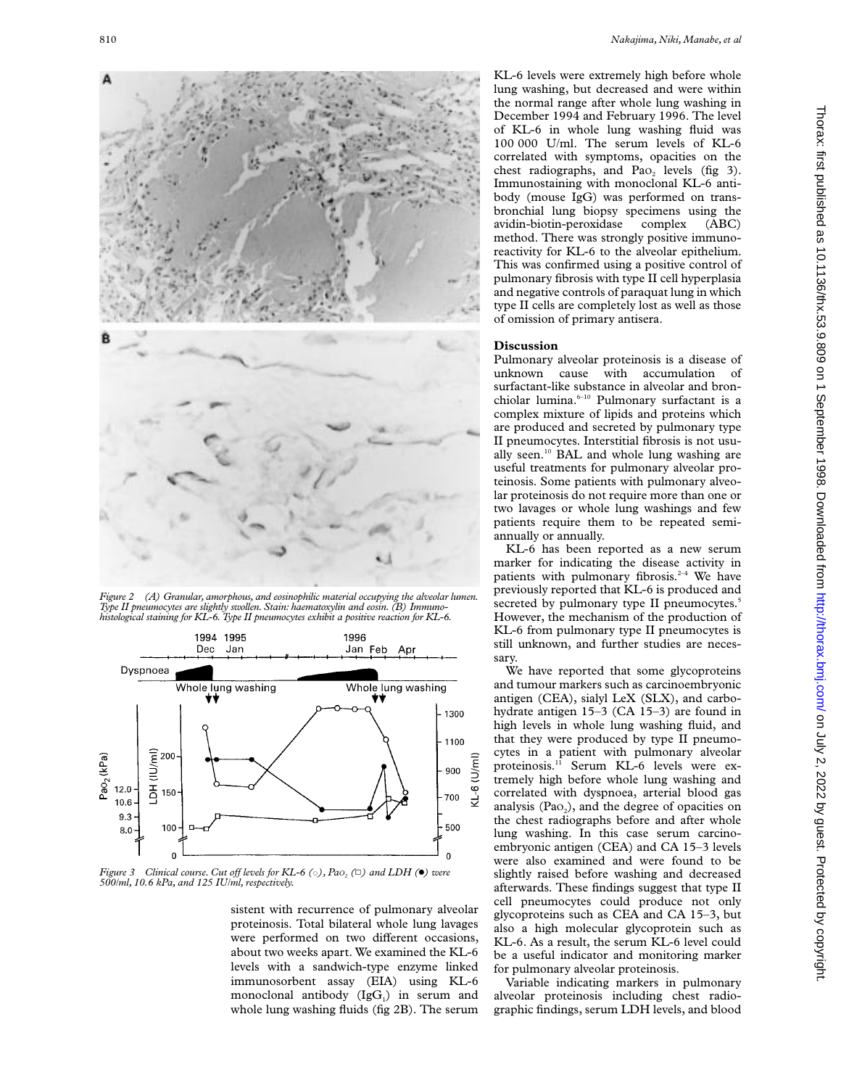

*Figure 2 (A) Granular, amorphous, and eosinophilic material occupying the alveolar lumen. Type II pneumocytes are slightly swollen. Stain: haematoxylin and eosin. (B) Immunohistological staining for KL-6. Type II pneumocytes exhibit a positive reaction for KL-6.*



*Figure 3 Clinical course. Cut off levels for KL-6* ( $\circ$ ), *Pao<sub>2</sub>* ( $\Box$ ) and LDH ( $\bullet$ ) were<br>500/ml, 10.6 kPa, and 125 IU/ml, respectively.

sistent with recurrence of pulmonary alveolar proteinosis. Total bilateral whole lung lavages were performed on two different occasions, about two weeks apart. We examined the KL-6 levels with a sandwich-type enzyme linked immunosorbent assay (EIA) using KL-6 monoclonal antibody  $(IgG<sub>1</sub>)$  in serum and whole lung washing fluids (fig 2B). The serum KL-6 levels were extremely high before whole lung washing, but decreased and were within the normal range after whole lung washing in December 1994 and February 1996. The level of KL-6 in whole lung washing fluid was 100 000 U/ml. The serum levels of KL-6 correlated with symptoms, opacities on the chest radiographs, and Pao<sub>2</sub> levels (fig 3). Immunostaining with monoclonal KL-6 antibody (mouse IgG) was performed on transbronchial lung biopsy specimens using the avidin-biotin-peroxidase complex (ABC) method. There was strongly positive immunoreactivity for KL-6 to the alveolar epithelium. This was confirmed using a positive control of pulmonary fibrosis with type II cell hyperplasia and negative controls of paraquat lung in which type II cells are completely lost as well as those of omission of primary antisera.

### **Discussion**

Pulmonary alveolar proteinosis is a disease of unknown cause with accumulation of surfactant-like substance in alveolar and bronchiolar lumina.<sup>6-10</sup> Pulmonary surfactant is a complex mixture of lipids and proteins which are produced and secreted by pulmonary type II pneumocytes. Interstitial fibrosis is not usually seen.10 BAL and whole lung washing are useful treatments for pulmonary alveolar proteinosis. Some patients with pulmonary alveolar proteinosis do not require more than one or two lavages or whole lung washings and few patients require them to be repeated semiannually or annually.

KL-6 has been reported as a new serum marker for indicating the disease activity in patients with pulmonary fibrosis. $2-4$  We have previously reported that KL-6 is produced and secreted by pulmonary type II pneumocytes.<sup>5</sup> However, the mechanism of the production of KL-6 from pulmonary type II pneumocytes is still unknown, and further studies are necessary.

We have reported that some glycoproteins and tumour markers such as carcinoembryonic antigen (CEA), sialyl LeX (SLX), and carbohydrate antigen 15–3 (CA 15–3) are found in high levels in whole lung washing fluid, and that they were produced by type II pneumocytes in a patient with pulmonary alveolar proteinosis.<sup>11</sup> Serum KL-6 levels were extremely high before whole lung washing and correlated with dyspnoea, arterial blood gas analysis  $(Pao<sub>2</sub>)$ , and the degree of opacities on the chest radiographs before and after whole lung washing. In this case serum carcinoembryonic antigen (CEA) and CA 15–3 levels were also examined and were found to be slightly raised before washing and decreased afterwards. These findings suggest that type II cell pneumocytes could produce not only glycoproteins such as CEA and CA 15–3, but also a high molecular glycoprotein such as KL-6. As a result, the serum KL-6 level could be a useful indicator and monitoring marker for pulmonary alveolar proteinosis.

Variable indicating markers in pulmonary alveolar proteinosis including chest radiographic findings, serum LDH levels, and blood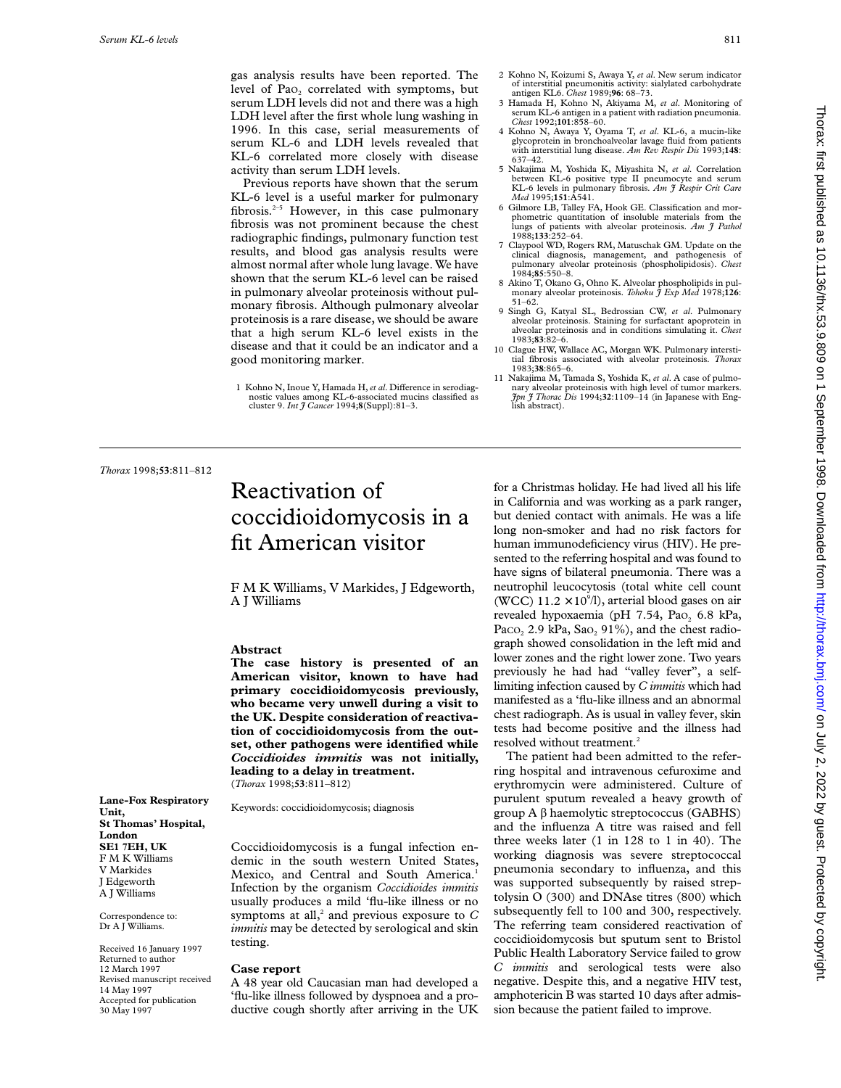gas analysis results have been reported. The level of Pao<sub>2</sub> correlated with symptoms, but serum LDH levels did not and there was a high LDH level after the first whole lung washing in 1996. In this case, serial measurements of serum KL-6 and LDH levels revealed that KL-6 correlated more closely with disease activity than serum LDH levels.

Previous reports have shown that the serum KL-6 level is a useful marker for pulmonary fibrosis.<sup>2-5</sup> However, in this case pulmonary fibrosis was not prominent because the chest radiographic findings, pulmonary function test results, and blood gas analysis results were almost normal after whole lung lavage. We have shown that the serum KL-6 level can be raised in pulmonary alveolar proteinosis without pulmonary fibrosis. Although pulmonary alveolar proteinosis is a rare disease, we should be aware that a high serum KL-6 level exists in the disease and that it could be an indicator and a good monitoring marker.

- 2 Kohno N, Koizumi S, Awaya Y, *et al*. New serum indicator of interstitial pneumonitis activity: sialylated carbohydrate antigen KL6. *Chest* 1989;**96**: 68–73.
- 3 Hamada H, Kohno N, Akiyama M, *et al*. Monitoring of serum KL-6 antigen in a patient with radiation pneumonia. *Chest* 1992;**101**:858–60.
- 4 Kohno N, Awaya Y, Oyama T, *et al*. KL-6, a mucin-like glycoprotein in bronchoalveolar lavage fluid from patients with interstitial lung disease. *Am Rev Respir Dis* 1993;**148**: 637–42.
- 5 Nakajima M, Yoshida K, Miyashita N, *et al*. Correlation between KL-6 positive type II pneumocyte and serum KL-6 levels in pulmonary fibrosis. *Am J Respir Crit Care Med* 1995;**151**:A541.
- 6 Gilmore LB, Talley FA, Hook GE. Classification and morphometric quantitation of insoluble materials from the lungs of patients with alveolar proteinosis. Am  $\tilde{\tau}$  Pathol 1988;**133**:252–64.
- 7 Claypool WD, Rogers RM, Matuschak GM. Update on the clinical diagnosis, management, and pathogenesis of pulmonary alveolar proteinosis (phospholipidosis). *Chest* 1984;**85**:550–8.
- 8 Akino T, Okano G, Ohno K. Alveolar phospholipids in pul-monary alveolar proteinosis. *Tohoku J Exp Med* 1978;**126**: 51–62.
- 9 Singh G, Katyal SL, Bedrossian CW, *et al*. Pulmonary alveolar proteinosis. Staining for surfactant apoprotein in alveolar proteinosis and in conditions simulating it. *Chest* 1983;**83**:82–6.
- 10 Clague HW, Wallace AC, Morgan WK. Pulmonary intersti-tial fibrosis associated with alveolar proteinosis. *Thorax* 1983;**38**:865–6.
- 11 Nakajima M, Tamada S, Yoshida K, *et al*. A case of pulmonary alveolar proteinosis with high level of tumor markers. *Jpn J Thorac Dis* 1994;**32**:1109–14 (in Japanese with English abstract).

*Thorax* 1998;**53**:811–812

**Lane-Fox Respiratory**

**St Thomas' Hospital,**

Received 16 January 1997 Returned to author 12 March 1997 Revised manuscript received

14 May 1997 Accepted for publication 30 May 1997

**Unit,**

**London SE1 7EH, UK** F M K Williams V Markides J Edgeworth A J Williams Correspondence to: Dr A J Williams.

## Reactivation of coccidioidomycosis in a fit American visitor

F M K Williams, V Markides, J Edgeworth, A J Williams

### **Abstract**

**The case history is presented of an American visitor, known to have had primary coccidioidomycosis previously, who became very unwell during a visit to the UK. Despite consideration of reactivation of coccidioidomycosis from the outset, other pathogens were identified while** *Coccidioides immitis* **was not initially, leading to a delay in treatment.** (*Thorax* 1998;**53**:811–812)

Keywords: coccidioidomycosis; diagnosis

Coccidioidomycosis is a fungal infection endemic in the south western United States, Mexico, and Central and South America.<sup>1</sup> Infection by the organism *Coccidioides immitis* usually produces a mild 'flu-like illness or no symptoms at all,<sup>2</sup> and previous exposure to  $C$ *immitis* may be detected by serological and skin testing.

## **Case report**

A 48 year old Caucasian man had developed a 'flu-like illness followed by dyspnoea and a productive cough shortly after arriving in the UK for a Christmas holiday. He had lived all his life in California and was working as a park ranger, but denied contact with animals. He was a life long non-smoker and had no risk factors for human immunodeficiency virus (HIV). He presented to the referring hospital and was found to have signs of bilateral pneumonia. There was a neutrophil leucocytosis (total white cell count (WCC)  $11.2 \times 10^{9}$ /l), arterial blood gases on air revealed hypoxaemia (pH  $7.54$ , Pao<sub>2</sub> 6.8 kPa, Paco,  $2.9$  kPa, Sao,  $91\%$ ), and the chest radiograph showed consolidation in the left mid and lower zones and the right lower zone. Two years previously he had had "valley fever", a selflimiting infection caused by *C immitis* which had manifested as a 'flu-like illness and an abnormal chest radiograph. As is usual in valley fever, skin tests had become positive and the illness had resolved without treatment.<sup>2</sup>

The patient had been admitted to the referring hospital and intravenous cefuroxime and erythromycin were administered. Culture of purulent sputum revealed a heavy growth of group  $A \beta$  haemolytic streptococcus (GABHS) and the influenza A titre was raised and fell three weeks later (1 in 128 to 1 in 40). The working diagnosis was severe streptococcal pneumonia secondary to influenza, and this was supported subsequently by raised streptolysin O (300) and DNAse titres (800) which subsequently fell to 100 and 300, respectively. The referring team considered reactivation of coccidioidomycosis but sputum sent to Bristol Public Health Laboratory Service failed to grow *C immitis* and serological tests were also negative. Despite this, and a negative HIV test, amphotericin B was started 10 days after admission because the patient failed to improve.

<sup>1</sup> Kohno N, Inoue Y, Hamada H, et al. Difference in serodiagnostic values among KL-6-associated mucins classified as cluster 9. *Int J Cancer* 1994;**8**(Suppl):81–3.